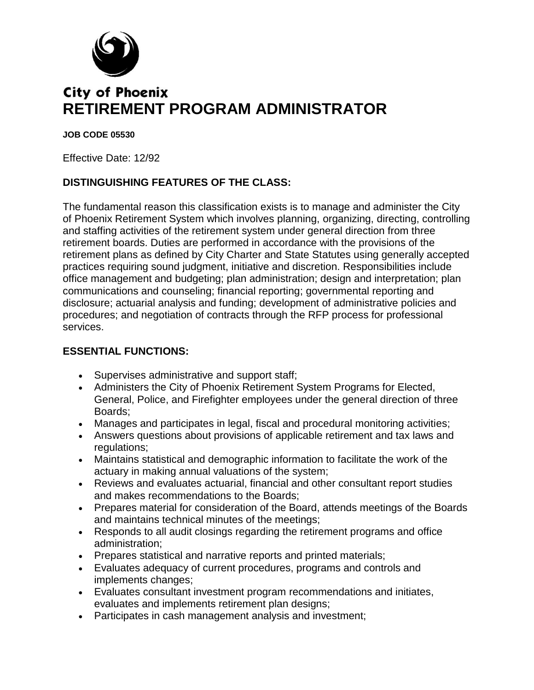

# **City of Phoenix RETIREMENT PROGRAM ADMINISTRATOR**

#### **JOB CODE 05530**

Effective Date: 12/92

### **DISTINGUISHING FEATURES OF THE CLASS:**

The fundamental reason this classification exists is to manage and administer the City of Phoenix Retirement System which involves planning, organizing, directing, controlling and staffing activities of the retirement system under general direction from three retirement boards. Duties are performed in accordance with the provisions of the retirement plans as defined by City Charter and State Statutes using generally accepted practices requiring sound judgment, initiative and discretion. Responsibilities include office management and budgeting; plan administration; design and interpretation; plan communications and counseling; financial reporting; governmental reporting and disclosure; actuarial analysis and funding; development of administrative policies and procedures; and negotiation of contracts through the RFP process for professional services.

#### **ESSENTIAL FUNCTIONS:**

- Supervises administrative and support staff;
- Administers the City of Phoenix Retirement System Programs for Elected, General, Police, and Firefighter employees under the general direction of three Boards;
- Manages and participates in legal, fiscal and procedural monitoring activities;
- Answers questions about provisions of applicable retirement and tax laws and regulations;
- Maintains statistical and demographic information to facilitate the work of the actuary in making annual valuations of the system;
- Reviews and evaluates actuarial, financial and other consultant report studies and makes recommendations to the Boards;
- Prepares material for consideration of the Board, attends meetings of the Boards and maintains technical minutes of the meetings;
- Responds to all audit closings regarding the retirement programs and office administration;
- Prepares statistical and narrative reports and printed materials;
- Evaluates adequacy of current procedures, programs and controls and implements changes;
- Evaluates consultant investment program recommendations and initiates, evaluates and implements retirement plan designs;
- Participates in cash management analysis and investment;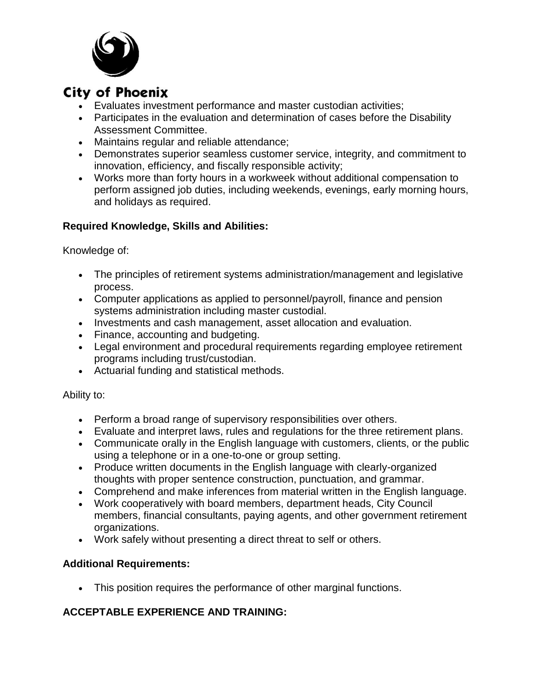

# **City of Phoenix**

- Evaluates investment performance and master custodian activities;
- Participates in the evaluation and determination of cases before the Disability Assessment Committee.
- Maintains regular and reliable attendance;
- Demonstrates superior seamless customer service, integrity, and commitment to innovation, efficiency, and fiscally responsible activity;
- Works more than forty hours in a workweek without additional compensation to perform assigned job duties, including weekends, evenings, early morning hours, and holidays as required.

### **Required Knowledge, Skills and Abilities:**

Knowledge of:

- The principles of retirement systems administration/management and legislative process.
- Computer applications as applied to personnel/payroll, finance and pension systems administration including master custodial.
- Investments and cash management, asset allocation and evaluation.
- Finance, accounting and budgeting.
- Legal environment and procedural requirements regarding employee retirement programs including trust/custodian.
- Actuarial funding and statistical methods.

#### Ability to:

- Perform a broad range of supervisory responsibilities over others.
- Evaluate and interpret laws, rules and regulations for the three retirement plans.
- Communicate orally in the English language with customers, clients, or the public using a telephone or in a one-to-one or group setting.
- Produce written documents in the English language with clearly-organized thoughts with proper sentence construction, punctuation, and grammar.
- Comprehend and make inferences from material written in the English language.
- Work cooperatively with board members, department heads, City Council members, financial consultants, paying agents, and other government retirement organizations.
- Work safely without presenting a direct threat to self or others.

#### **Additional Requirements:**

This position requires the performance of other marginal functions.

#### **ACCEPTABLE EXPERIENCE AND TRAINING:**